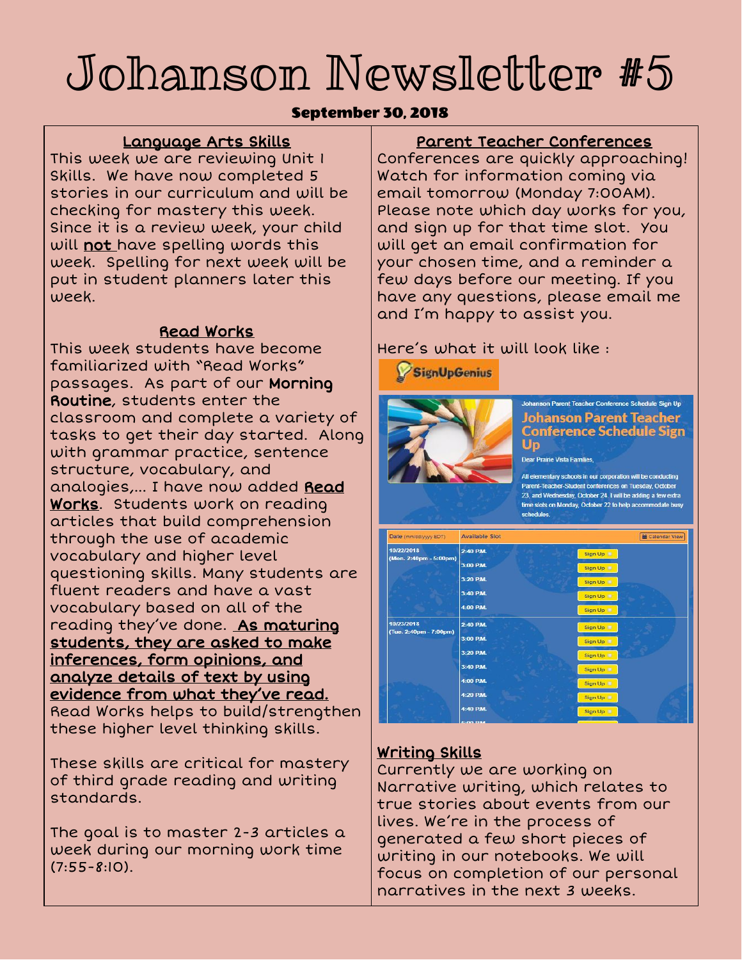# Johanson Newsletter #5

#### September 30, 2018

### Language Arts Skills

This week we are reviewing Unit 1 Skills. We have now completed 5 stories in our curriculum and will be checking for mastery this week. Since it is a review week, your child will not have spelling words this week. Spelling for next week will be put in student planners later this week.

#### Read Works

This week students have become familiarized with "Read Works" passages. As part of our Morning Routine, students enter the classroom and complete a variety of tasks to get their day started. Along with grammar practice, sentence structure, vocabulary, and analogies,... I have now added Read Works. Students work on reading articles that build comprehension through the use of academic vocabulary and higher level questioning skills. Many students are fluent readers and have a vast vocabulary based on all of the reading they've done. As maturing students, they are asked to make inferences, form opinions, and analyze details of text by using evidence from what they've read. Read Works helps to build/strengthen these higher level thinking skills.

These skills are critical for mastery of third grade reading and writing standards.

The goal is to master 2-3 articles a week during our morning work time (7:55-8:10).

#### Parent Teacher Conferences

Conferences are quickly approaching! Watch for information coming via email tomorrow (Monday 7:00AM). Please note which day works for you, and sign up for that time slot. You will get an email confirmation for your chosen time, and a reminder a few days before our meeting. If you have any questions, please email me and I'm happy to assist you.

### Here's what it will look like :

SignUpGenius



Johanson Parent Teacher Conference Schedule Sign Up **Johanson Parent Teacher Conference Schedule Sign** Up

Dear Prairie Vista Families,

All elementary schools in our corporation will be conducting Parent-Teacher-Student conferences on Tuesday, October 23, and Wednesday, October 24. I will be adding a few extra time slots on Monday. October 22 to help accommodate busy schedules



## Writing Skills

Currently we are working on Narrative writing, which relates to true stories about events from our lives. We're in the process of generated a few short pieces of writing in our notebooks. We will focus on completion of our personal narratives in the next 3 weeks.